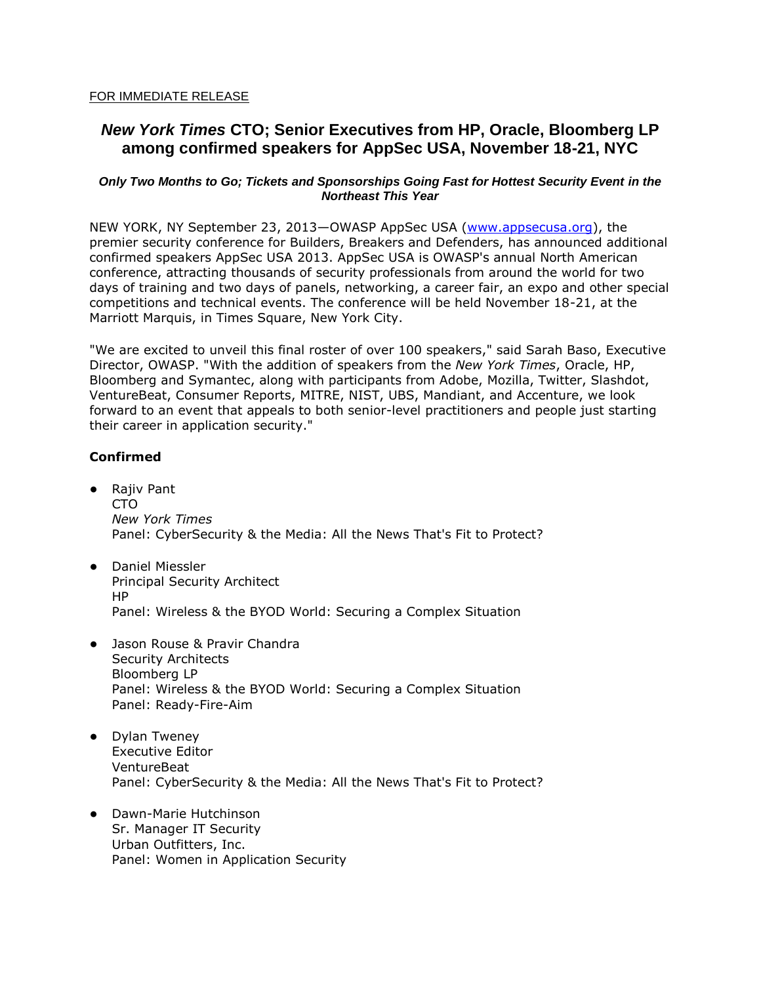### FOR IMMEDIATE RELEASE

# *New York Times* **CTO; Senior Executives from HP, Oracle, Bloomberg LP among confirmed speakers for AppSec USA, November 18-21, NYC**

## *Only Two Months to Go; Tickets and Sponsorships Going Fast for Hottest Security Event in the Northeast This Year*

NEW YORK, NY September 23, 2013—OWASP AppSec USA [\(www.appsecusa.org\)](http://www.appsecusa.com/), the premier security conference for Builders, Breakers and Defenders, has announced additional confirmed speakers AppSec USA 2013. AppSec USA is OWASP's annual North American conference, attracting thousands of security professionals from around the world for two days of training and two days of panels, networking, a career fair, an expo and other special competitions and technical events. The conference will be held November 18-21, at the Marriott Marquis, in Times Square, New York City.

"We are excited to unveil this final roster of over 100 speakers," said Sarah Baso, Executive Director, OWASP. "With the addition of speakers from the *New York Times*, Oracle, HP, Bloomberg and Symantec, along with participants from Adobe, Mozilla, Twitter, Slashdot, VentureBeat, Consumer Reports, MITRE, NIST, UBS, Mandiant, and Accenture, we look forward to an event that appeals to both senior-level practitioners and people just starting their career in application security."

## **Confirmed**

- Rajiv Pant CTO *New York Times* Panel: CyberSecurity & the Media: All the News That's Fit to Protect?
- Daniel Miessler Principal Security Architect HP Panel: Wireless & the BYOD World: Securing a Complex Situation
- Jason Rouse & Pravir Chandra Security Architects Bloomberg LP Panel: Wireless & the BYOD World: Securing a Complex Situation Panel: Ready-Fire-Aim
- Dylan Tweney Executive Editor VentureBeat Panel: CyberSecurity & the Media: All the News That's Fit to Protect?
- Dawn-Marie Hutchinson Sr. Manager IT Security Urban Outfitters, Inc. Panel: Women in Application Security